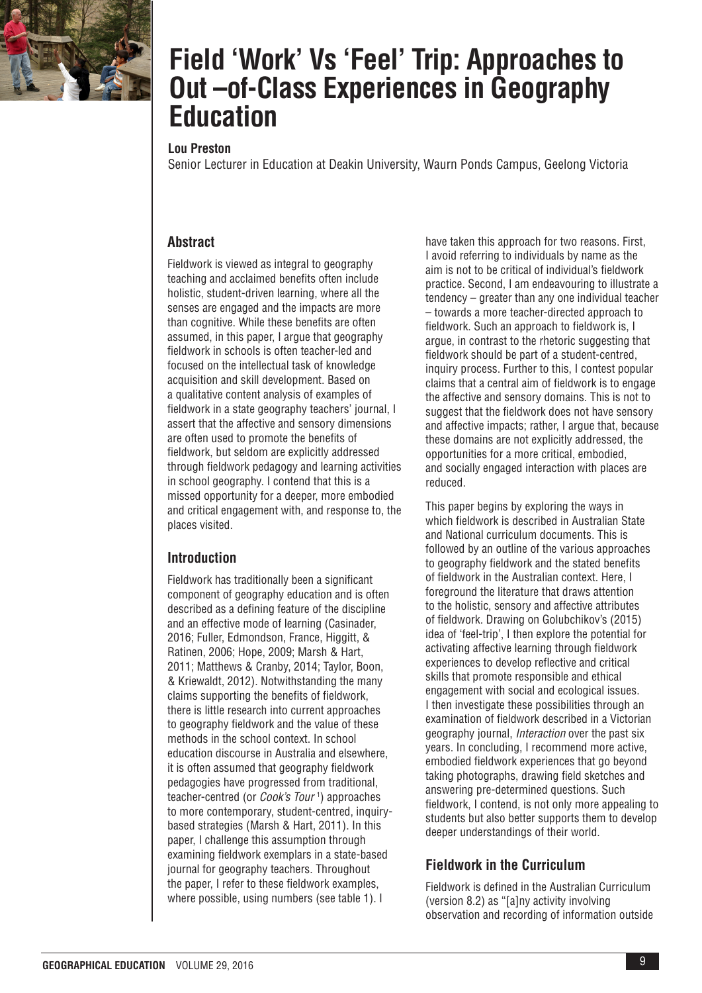

# **Field 'Work' Vs 'Feel' Trip: Approaches to Out –of-Class Experiences in Geography Education**

# **Lou Preston**

Senior Lecturer in Education at Deakin University, Waurn Ponds Campus, Geelong Victoria

# **Abstract**

Fieldwork is viewed as integral to geography teaching and acclaimed benefits often include holistic, student-driven learning, where all the senses are engaged and the impacts are more than cognitive. While these benefits are often assumed, in this paper, I argue that geography fieldwork in schools is often teacher-led and focused on the intellectual task of knowledge acquisition and skill development. Based on a qualitative content analysis of examples of fieldwork in a state geography teachers' journal, I assert that the affective and sensory dimensions are often used to promote the benefits of fieldwork, but seldom are explicitly addressed through fieldwork pedagogy and learning activities in school geography. I contend that this is a missed opportunity for a deeper, more embodied and critical engagement with, and response to, the places visited.

# **Introduction**

Fieldwork has traditionally been a significant component of geography education and is often described as a defining feature of the discipline and an effective mode of learning (Casinader, 2016; Fuller, Edmondson, France, Higgitt, & Ratinen, 2006; Hope, 2009; Marsh & Hart, 2011; Matthews & Cranby, 2014; Taylor, Boon, & Kriewaldt, 2012). Notwithstanding the many claims supporting the benefits of fieldwork, there is little research into current approaches to geography fieldwork and the value of these methods in the school context. In school education discourse in Australia and elsewhere, it is often assumed that geography fieldwork pedagogies have progressed from traditional, teacher-centred (or *Cook's Tour* <sup>1</sup> ) approaches to more contemporary, student-centred, inquirybased strategies (Marsh & Hart, 2011). In this paper, I challenge this assumption through examining fieldwork exemplars in a state-based journal for geography teachers. Throughout the paper, I refer to these fieldwork examples, where possible, using numbers (see table 1). I

have taken this approach for two reasons. First, I avoid referring to individuals by name as the aim is not to be critical of individual's fieldwork practice. Second, I am endeavouring to illustrate a tendency – greater than any one individual teacher – towards a more teacher-directed approach to fieldwork. Such an approach to fieldwork is, I argue, in contrast to the rhetoric suggesting that fieldwork should be part of a student-centred, inquiry process. Further to this, I contest popular claims that a central aim of fieldwork is to engage the affective and sensory domains. This is not to suggest that the fieldwork does not have sensory and affective impacts; rather, I argue that, because these domains are not explicitly addressed, the opportunities for a more critical, embodied, and socially engaged interaction with places are reduced.

This paper begins by exploring the ways in which fieldwork is described in Australian State and National curriculum documents. This is followed by an outline of the various approaches to geography fieldwork and the stated benefits of fieldwork in the Australian context. Here, I foreground the literature that draws attention to the holistic, sensory and affective attributes of fieldwork. Drawing on Golubchikov's (2015) idea of 'feel-trip', I then explore the potential for activating affective learning through fieldwork experiences to develop reflective and critical skills that promote responsible and ethical engagement with social and ecological issues. I then investigate these possibilities through an examination of fieldwork described in a Victorian geography journal, *Interaction* over the past six years. In concluding, I recommend more active, embodied fieldwork experiences that go beyond taking photographs, drawing field sketches and answering pre-determined questions. Such fieldwork, I contend, is not only more appealing to students but also better supports them to develop deeper understandings of their world.

# **Fieldwork in the Curriculum**

Fieldwork is defined in the Australian Curriculum (version 8.2) as "[a]ny activity involving observation and recording of information outside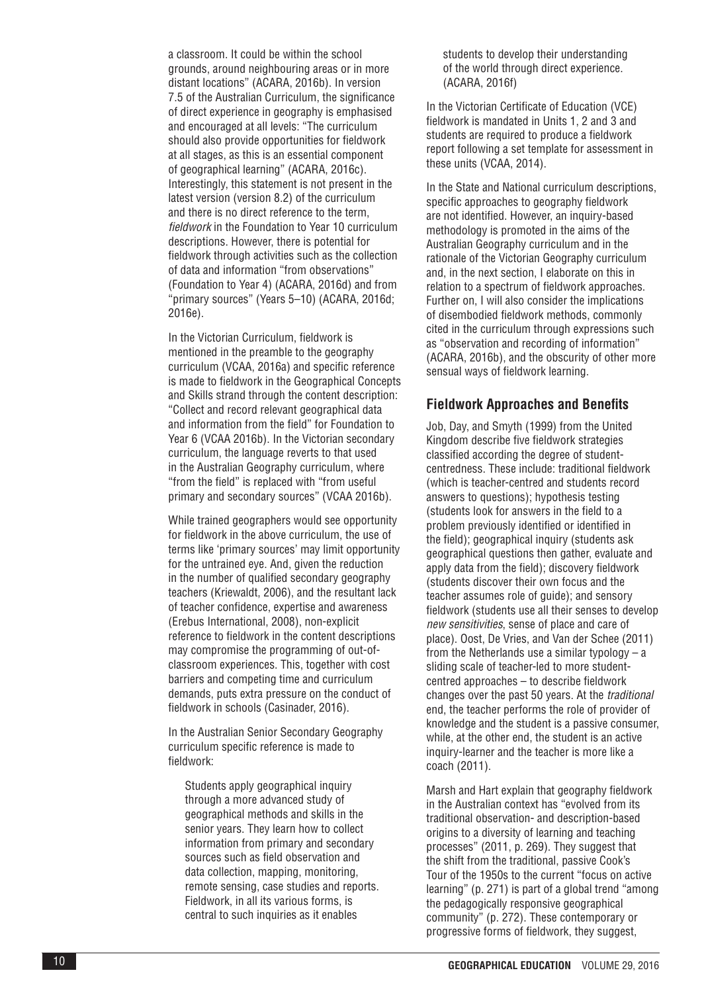a classroom. It could be within the school grounds, around neighbouring areas or in more distant locations" (ACARA, 2016b). In version 7.5 of the Australian Curriculum, the significance of direct experience in geography is emphasised and encouraged at all levels: "The curriculum should also provide opportunities for fieldwork at all stages, as this is an essential component of geographical learning" (ACARA, 2016c). Interestingly, this statement is not present in the latest version (version 8.2) of the curriculum and there is no direct reference to the term, *fieldwork* in the Foundation to Year 10 curriculum descriptions. However, there is potential for fieldwork through activities such as the collection of data and information "from observations" (Foundation to Year 4) (ACARA, 2016d) and from "primary sources" (Years 5–10) (ACARA, 2016d; 2016e).

In the Victorian Curriculum, fieldwork is mentioned in the preamble to the geography curriculum (VCAA, 2016a) and specific reference is made to fieldwork in the Geographical Concepts and Skills strand through the content description: "Collect and record relevant geographical data and information from the field" for Foundation to Year 6 (VCAA 2016b). In the Victorian secondary curriculum, the language reverts to that used in the Australian Geography curriculum, where "from the field" is replaced with "from useful primary and secondary sources" (VCAA 2016b).

While trained geographers would see opportunity for fieldwork in the above curriculum, the use of terms like 'primary sources' may limit opportunity for the untrained eye. And, given the reduction in the number of qualified secondary geography teachers (Kriewaldt, 2006), and the resultant lack of teacher confidence, expertise and awareness (Erebus International, 2008), non-explicit reference to fieldwork in the content descriptions may compromise the programming of out-ofclassroom experiences. This, together with cost barriers and competing time and curriculum demands, puts extra pressure on the conduct of fieldwork in schools (Casinader, 2016).

In the Australian Senior Secondary Geography curriculum specific reference is made to fieldwork:

Students apply geographical inquiry through a more advanced study of geographical methods and skills in the senior years. They learn how to collect information from primary and secondary sources such as field observation and data collection, mapping, monitoring, remote sensing, case studies and reports. Fieldwork, in all its various forms, is central to such inquiries as it enables

students to develop their understanding of the world through direct experience. (ACARA, 2016f)

In the Victorian Certificate of Education (VCE) fieldwork is mandated in Units 1, 2 and 3 and students are required to produce a fieldwork report following a set template for assessment in these units (VCAA, 2014).

In the State and National curriculum descriptions, specific approaches to geography fieldwork are not identified. However, an inquiry-based methodology is promoted in the aims of the Australian Geography curriculum and in the rationale of the Victorian Geography curriculum and, in the next section, I elaborate on this in relation to a spectrum of fieldwork approaches. Further on, I will also consider the implications of disembodied fieldwork methods, commonly cited in the curriculum through expressions such as "observation and recording of information" (ACARA, 2016b), and the obscurity of other more sensual ways of fieldwork learning.

#### **Fieldwork Approaches and Benefits**

Job, Day, and Smyth (1999) from the United Kingdom describe five fieldwork strategies classified according the degree of studentcentredness. These include: traditional fieldwork (which is teacher-centred and students record answers to questions); hypothesis testing (students look for answers in the field to a problem previously identified or identified in the field); geographical inquiry (students ask geographical questions then gather, evaluate and apply data from the field); discovery fieldwork (students discover their own focus and the teacher assumes role of guide); and sensory fieldwork (students use all their senses to develop *new sensitivities*, sense of place and care of place). Oost, De Vries, and Van der Schee (2011) from the Netherlands use a similar typology – a sliding scale of teacher-led to more studentcentred approaches – to describe fieldwork changes over the past 50 years. At the *traditional* end, the teacher performs the role of provider of knowledge and the student is a passive consumer, while, at the other end, the student is an active inquiry-learner and the teacher is more like a coach (2011).

Marsh and Hart explain that geography fieldwork in the Australian context has "evolved from its traditional observation- and description-based origins to a diversity of learning and teaching processes" (2011, p. 269). They suggest that the shift from the traditional, passive Cook's Tour of the 1950s to the current "focus on active learning" (p. 271) is part of a global trend "among the pedagogically responsive geographical community" (p. 272). These contemporary or progressive forms of fieldwork, they suggest,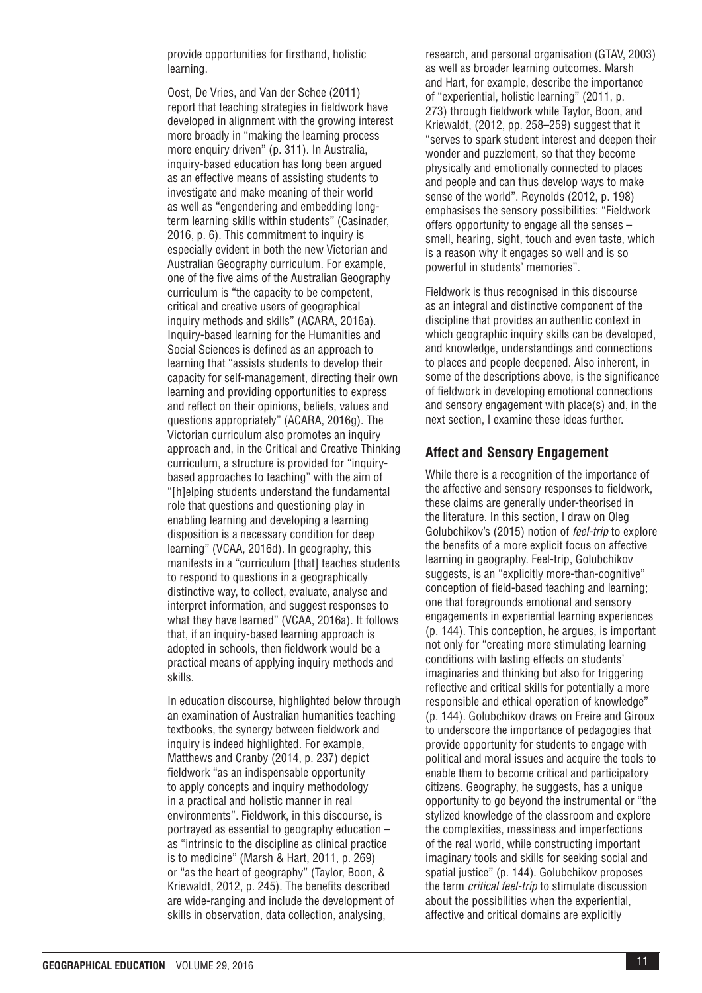provide opportunities for firsthand, holistic learning.

Oost, De Vries, and Van der Schee (2011) report that teaching strategies in fieldwork have developed in alignment with the growing interest more broadly in "making the learning process more enquiry driven" (p. 311). In Australia, inquiry-based education has long been argued as an effective means of assisting students to investigate and make meaning of their world as well as "engendering and embedding longterm learning skills within students" (Casinader, 2016, p. 6). This commitment to inquiry is especially evident in both the new Victorian and Australian Geography curriculum. For example, one of the five aims of the Australian Geography curriculum is "the capacity to be competent, critical and creative users of geographical inquiry methods and skills" (ACARA, 2016a). Inquiry-based learning for the Humanities and Social Sciences is defined as an approach to learning that "assists students to develop their capacity for self-management, directing their own learning and providing opportunities to express and reflect on their opinions, beliefs, values and questions appropriately" (ACARA, 2016g). The Victorian curriculum also promotes an inquiry approach and, in the Critical and Creative Thinking curriculum, a structure is provided for "inquirybased approaches to teaching" with the aim of "[h]elping students understand the fundamental role that questions and questioning play in enabling learning and developing a learning disposition is a necessary condition for deep learning" (VCAA, 2016d). In geography, this manifests in a "curriculum [that] teaches students to respond to questions in a geographically distinctive way, to collect, evaluate, analyse and interpret information, and suggest responses to what they have learned" (VCAA, 2016a). It follows that, if an inquiry-based learning approach is adopted in schools, then fieldwork would be a practical means of applying inquiry methods and skills.

In education discourse, highlighted below through an examination of Australian humanities teaching textbooks, the synergy between fieldwork and inquiry is indeed highlighted. For example, Matthews and Cranby (2014, p. 237) depict fieldwork "as an indispensable opportunity to apply concepts and inquiry methodology in a practical and holistic manner in real environments". Fieldwork, in this discourse, is portrayed as essential to geography education – as "intrinsic to the discipline as clinical practice is to medicine" (Marsh & Hart, 2011, p. 269) or "as the heart of geography" (Taylor, Boon, & Kriewaldt, 2012, p. 245). The benefits described are wide-ranging and include the development of skills in observation, data collection, analysing,

research, and personal organisation (GTAV, 2003) as well as broader learning outcomes. Marsh and Hart, for example, describe the importance of "experiential, holistic learning" (2011, p. 273) through fieldwork while Taylor, Boon, and Kriewaldt, (2012, pp. 258–259) suggest that it "serves to spark student interest and deepen their wonder and puzzlement, so that they become physically and emotionally connected to places and people and can thus develop ways to make sense of the world". Reynolds (2012, p. 198) emphasises the sensory possibilities: "Fieldwork offers opportunity to engage all the senses – smell, hearing, sight, touch and even taste, which is a reason why it engages so well and is so powerful in students' memories".

Fieldwork is thus recognised in this discourse as an integral and distinctive component of the discipline that provides an authentic context in which geographic inquiry skills can be developed, and knowledge, understandings and connections to places and people deepened. Also inherent, in some of the descriptions above, is the significance of fieldwork in developing emotional connections and sensory engagement with place(s) and, in the next section, I examine these ideas further.

#### **Affect and Sensory Engagement**

While there is a recognition of the importance of the affective and sensory responses to fieldwork, these claims are generally under-theorised in the literature. In this section, I draw on Oleg Golubchikov's (2015) notion of *feel-trip* to explore the benefits of a more explicit focus on affective learning in geography. Feel-trip, Golubchikov suggests, is an "explicitly more-than-cognitive" conception of field-based teaching and learning; one that foregrounds emotional and sensory engagements in experiential learning experiences (p. 144). This conception, he argues, is important not only for "creating more stimulating learning conditions with lasting effects on students' imaginaries and thinking but also for triggering reflective and critical skills for potentially a more responsible and ethical operation of knowledge" (p. 144). Golubchikov draws on Freire and Giroux to underscore the importance of pedagogies that provide opportunity for students to engage with political and moral issues and acquire the tools to enable them to become critical and participatory citizens. Geography, he suggests, has a unique opportunity to go beyond the instrumental or "the stylized knowledge of the classroom and explore the complexities, messiness and imperfections of the real world, while constructing important imaginary tools and skills for seeking social and spatial justice" (p. 144). Golubchikov proposes the term *critical feel-trip* to stimulate discussion about the possibilities when the experiential, affective and critical domains are explicitly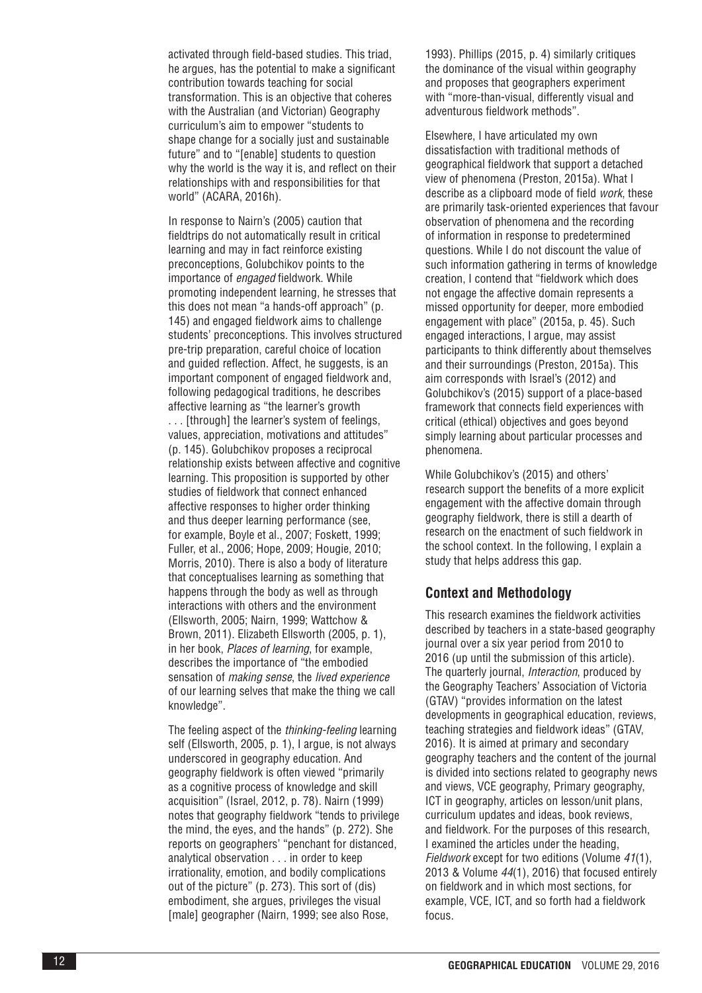activated through field-based studies. This triad, he argues, has the potential to make a significant contribution towards teaching for social transformation. This is an objective that coheres with the Australian (and Victorian) Geography curriculum's aim to empower "students to shape change for a socially just and sustainable future" and to "[enable] students to question why the world is the way it is, and reflect on their relationships with and responsibilities for that world" (ACARA, 2016h).

In response to Nairn's (2005) caution that fieldtrips do not automatically result in critical learning and may in fact reinforce existing preconceptions, Golubchikov points to the importance of *engaged* fieldwork. While promoting independent learning, he stresses that this does not mean "a hands-off approach" (p. 145) and engaged fieldwork aims to challenge students' preconceptions. This involves structured pre-trip preparation, careful choice of location and guided reflection. Affect, he suggests, is an important component of engaged fieldwork and, following pedagogical traditions, he describes affective learning as "the learner's growth

. . . [through] the learner's system of feelings, values, appreciation, motivations and attitudes" (p. 145). Golubchikov proposes a reciprocal relationship exists between affective and cognitive learning. This proposition is supported by other studies of fieldwork that connect enhanced affective responses to higher order thinking and thus deeper learning performance (see, for example, Boyle et al., 2007; Foskett, 1999; Fuller, et al., 2006; Hope, 2009; Hougie, 2010; Morris, 2010). There is also a body of literature that conceptualises learning as something that happens through the body as well as through interactions with others and the environment (Ellsworth, 2005; Nairn, 1999; Wattchow & Brown, 2011). Elizabeth Ellsworth (2005, p. 1), in her book, *Places of learning*, for example, describes the importance of "the embodied sensation of *making sense*, the *lived experience* of our learning selves that make the thing we call knowledge".

The feeling aspect of the *thinking-feeling* learning self (Ellsworth, 2005, p. 1), I argue, is not always underscored in geography education. And geography fieldwork is often viewed "primarily as a cognitive process of knowledge and skill acquisition" (Israel, 2012, p. 78). Nairn (1999) notes that geography fieldwork "tends to privilege the mind, the eyes, and the hands" (p. 272). She reports on geographers' "penchant for distanced, analytical observation . . . in order to keep irrationality, emotion, and bodily complications out of the picture" (p. 273). This sort of (dis) embodiment, she argues, privileges the visual [male] geographer (Nairn, 1999; see also Rose,

1993). Phillips (2015, p. 4) similarly critiques the dominance of the visual within geography and proposes that geographers experiment with "more-than-visual, differently visual and adventurous fieldwork methods".

Elsewhere, I have articulated my own dissatisfaction with traditional methods of geographical fieldwork that support a detached view of phenomena (Preston, 2015a). What I describe as a clipboard mode of field *work*, these are primarily task-oriented experiences that favour observation of phenomena and the recording of information in response to predetermined questions. While I do not discount the value of such information gathering in terms of knowledge creation, I contend that "fieldwork which does not engage the affective domain represents a missed opportunity for deeper, more embodied engagement with place" (2015a, p. 45). Such engaged interactions, I argue, may assist participants to think differently about themselves and their surroundings (Preston, 2015a). This aim corresponds with Israel's (2012) and Golubchikov's (2015) support of a place-based framework that connects field experiences with critical (ethical) objectives and goes beyond simply learning about particular processes and phenomena.

While Golubchikov's (2015) and others' research support the benefits of a more explicit engagement with the affective domain through geography fieldwork, there is still a dearth of research on the enactment of such fieldwork in the school context. In the following, I explain a study that helps address this gap.

## **Context and Methodology**

This research examines the fieldwork activities described by teachers in a state-based geography journal over a six year period from 2010 to 2016 (up until the submission of this article). The quarterly journal, *Interaction*, produced by the Geography Teachers' Association of Victoria (GTAV) "provides information on the latest developments in geographical education, reviews, teaching strategies and fieldwork ideas" (GTAV, 2016). It is aimed at primary and secondary geography teachers and the content of the journal is divided into sections related to geography news and views, VCE geography, Primary geography, ICT in geography, articles on lesson/unit plans, curriculum updates and ideas, book reviews, and fieldwork. For the purposes of this research, I examined the articles under the heading, *Fieldwork* except for two editions (Volume *41*(1), 2013 & Volume *44*(1), 2016) that focused entirely on fieldwork and in which most sections, for example, VCE, ICT, and so forth had a fieldwork focus.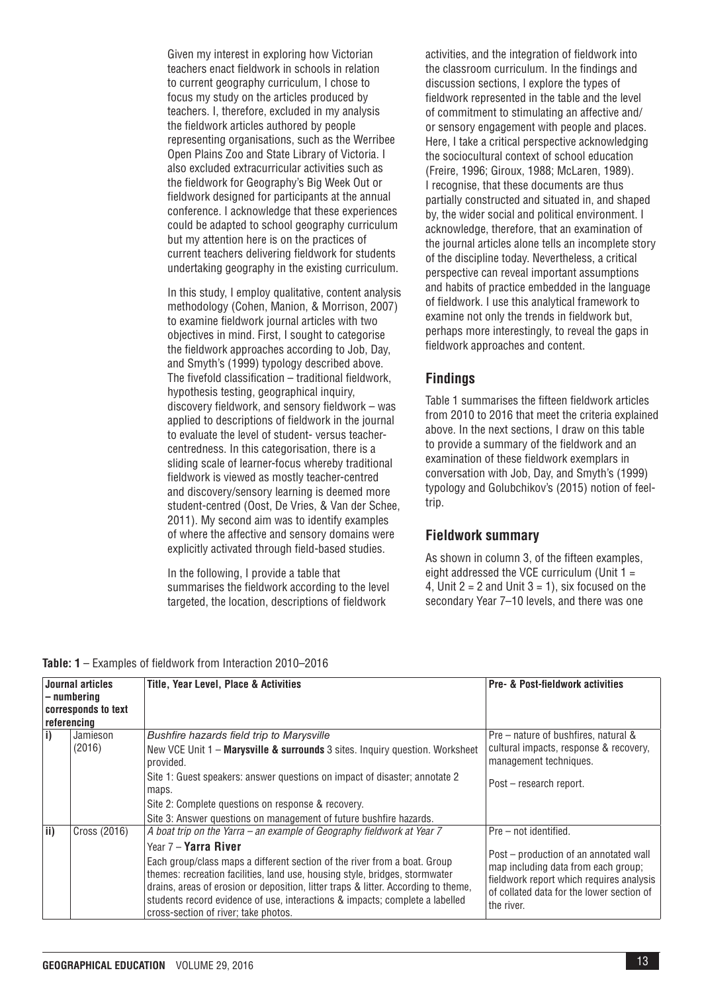Given my interest in exploring how Victorian teachers enact fieldwork in schools in relation to current geography curriculum, I chose to focus my study on the articles produced by teachers. I, therefore, excluded in my analysis the fieldwork articles authored by people representing organisations, such as the Werribee Open Plains Zoo and State Library of Victoria. I also excluded extracurricular activities such as the fieldwork for Geography's Big Week Out or fieldwork designed for participants at the annual conference. I acknowledge that these experiences could be adapted to school geography curriculum but my attention here is on the practices of current teachers delivering fieldwork for students undertaking geography in the existing curriculum.

In this study, I employ qualitative, content analysis methodology (Cohen, Manion, & Morrison, 2007) to examine fieldwork journal articles with two objectives in mind. First, I sought to categorise the fieldwork approaches according to Job, Day, and Smyth's (1999) typology described above. The fivefold classification – traditional fieldwork, hypothesis testing, geographical inquiry, discovery fieldwork, and sensory fieldwork – was applied to descriptions of fieldwork in the journal to evaluate the level of student- versus teachercentredness. In this categorisation, there is a sliding scale of learner-focus whereby traditional fieldwork is viewed as mostly teacher-centred and discovery/sensory learning is deemed more student-centred (Oost, De Vries, & Van der Schee, 2011). My second aim was to identify examples of where the affective and sensory domains were explicitly activated through field-based studies.

In the following, I provide a table that summarises the fieldwork according to the level targeted, the location, descriptions of fieldwork

activities, and the integration of fieldwork into the classroom curriculum. In the findings and discussion sections, I explore the types of fieldwork represented in the table and the level of commitment to stimulating an affective and/ or sensory engagement with people and places. Here, I take a critical perspective acknowledging the sociocultural context of school education (Freire, 1996; Giroux, 1988; McLaren, 1989). I recognise, that these documents are thus partially constructed and situated in, and shaped by, the wider social and political environment. I acknowledge, therefore, that an examination of the journal articles alone tells an incomplete story of the discipline today. Nevertheless, a critical perspective can reveal important assumptions and habits of practice embedded in the language of fieldwork. I use this analytical framework to examine not only the trends in fieldwork but, perhaps more interestingly, to reveal the gaps in fieldwork approaches and content.

# **Findings**

Table 1 summarises the fifteen fieldwork articles from 2010 to 2016 that meet the criteria explained above. In the next sections, I draw on this table to provide a summary of the fieldwork and an examination of these fieldwork exemplars in conversation with Job, Day, and Smyth's (1999) typology and Golubchikov's (2015) notion of feeltrip.

# **Fieldwork summary**

As shown in column 3, of the fifteen examples, eight addressed the VCE curriculum (Unit  $1 =$ 4, Unit  $2 = 2$  and Unit  $3 = 1$ ), six focused on the secondary Year 7–10 levels, and there was one

**Table: 1** – Examples of fieldwork from Interaction 2010–2016

| Journal articles<br>– numbering<br>corresponds to text<br>referencing |              | <b>Title, Year Level, Place &amp; Activities</b>                                                                                                                                                                                                                                                                                                                                               | <b>Pre- &amp; Post-fieldwork activities</b>                                                                                                                                          |
|-----------------------------------------------------------------------|--------------|------------------------------------------------------------------------------------------------------------------------------------------------------------------------------------------------------------------------------------------------------------------------------------------------------------------------------------------------------------------------------------------------|--------------------------------------------------------------------------------------------------------------------------------------------------------------------------------------|
| li)                                                                   | Jamieson     | Bushfire hazards field trip to Marysville                                                                                                                                                                                                                                                                                                                                                      | Pre – nature of bushfires, natural &                                                                                                                                                 |
|                                                                       | (2016)       | New VCE Unit 1 - Marysville & surrounds 3 sites. Inquiry question. Worksheet<br>provided.                                                                                                                                                                                                                                                                                                      | cultural impacts, response & recovery,<br>management techniques.                                                                                                                     |
|                                                                       |              | Site 1: Guest speakers: answer questions on impact of disaster; annotate 2<br>maps.                                                                                                                                                                                                                                                                                                            | Post – research report.                                                                                                                                                              |
|                                                                       |              | Site 2: Complete questions on response & recovery.                                                                                                                                                                                                                                                                                                                                             |                                                                                                                                                                                      |
|                                                                       |              | Site 3: Answer questions on management of future bushfire hazards.                                                                                                                                                                                                                                                                                                                             |                                                                                                                                                                                      |
| ii)                                                                   | Cross (2016) | A boat trip on the Yarra – an example of Geography fieldwork at Year 7                                                                                                                                                                                                                                                                                                                         | Pre - not identified.                                                                                                                                                                |
|                                                                       |              | Year 7 - Yarra River<br>Each group/class maps a different section of the river from a boat. Group<br>themes: recreation facilities, land use, housing style, bridges, stormwater<br>drains, areas of erosion or deposition, litter traps & litter. According to theme,<br>students record evidence of use, interactions & impacts; complete a labelled<br>cross-section of river; take photos. | Post – production of an annotated wall<br>map including data from each group;<br>fieldwork report which requires analysis<br>of collated data for the lower section of<br>the river. |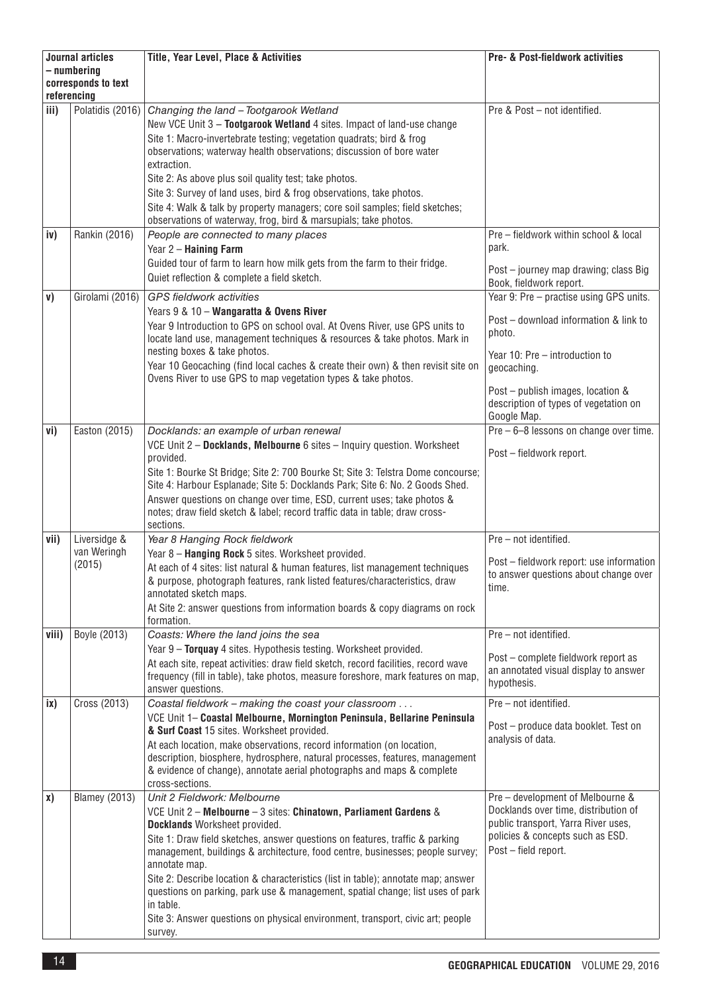| <b>Journal articles</b>            |                      | Title, Year Level, Place & Activities                                                                                                                            | <b>Pre- &amp; Post-fieldwork activities</b>                             |
|------------------------------------|----------------------|------------------------------------------------------------------------------------------------------------------------------------------------------------------|-------------------------------------------------------------------------|
| - numbering                        |                      |                                                                                                                                                                  |                                                                         |
| corresponds to text<br>referencing |                      |                                                                                                                                                                  |                                                                         |
| iii)                               | Polatidis (2016)     | Changing the land - Tootgarook Wetland                                                                                                                           | Pre & Post - not identified.                                            |
|                                    |                      | New VCE Unit 3 - Tootgarook Wetland 4 sites. Impact of land-use change                                                                                           |                                                                         |
|                                    |                      | Site 1: Macro-invertebrate testing; vegetation quadrats; bird & frog                                                                                             |                                                                         |
|                                    |                      | observations; waterway health observations; discussion of bore water                                                                                             |                                                                         |
|                                    |                      | extraction.                                                                                                                                                      |                                                                         |
|                                    |                      | Site 2: As above plus soil quality test; take photos.                                                                                                            |                                                                         |
|                                    |                      | Site 3: Survey of land uses, bird & frog observations, take photos.                                                                                              |                                                                         |
|                                    |                      | Site 4: Walk & talk by property managers; core soil samples; field sketches;                                                                                     |                                                                         |
|                                    |                      | observations of waterway, frog, bird & marsupials; take photos.                                                                                                  |                                                                         |
| iv)                                | Rankin (2016)        | People are connected to many places                                                                                                                              | Pre - fieldwork within school & local                                   |
|                                    |                      | Year 2 - Haining Farm                                                                                                                                            | park.                                                                   |
|                                    |                      | Guided tour of farm to learn how milk gets from the farm to their fridge.                                                                                        | Post - journey map drawing; class Big                                   |
|                                    |                      | Quiet reflection & complete a field sketch.                                                                                                                      | Book, fieldwork report.                                                 |
| v)                                 | Girolami (2016)      | <b>GPS</b> fieldwork activities                                                                                                                                  | Year 9: Pre - practise using GPS units.                                 |
|                                    |                      | Years 9 & 10 - Wangaratta & Ovens River                                                                                                                          | Post - download information & link to                                   |
|                                    |                      | Year 9 Introduction to GPS on school oval. At Ovens River, use GPS units to                                                                                      | photo.                                                                  |
|                                    |                      | locate land use, management techniques & resources & take photos. Mark in                                                                                        |                                                                         |
|                                    |                      | nesting boxes & take photos.<br>Year 10 Geocaching (find local caches & create their own) & then revisit site on                                                 | Year 10: Pre - introduction to                                          |
|                                    |                      | Ovens River to use GPS to map vegetation types & take photos.                                                                                                    | geocaching.                                                             |
|                                    |                      |                                                                                                                                                                  | Post - publish images, location &                                       |
|                                    |                      |                                                                                                                                                                  | description of types of vegetation on                                   |
|                                    |                      |                                                                                                                                                                  | Google Map.                                                             |
| vi)                                | Easton (2015)        | Docklands: an example of urban renewal                                                                                                                           | $Pre - 6 - 8$ lessons on change over time.                              |
|                                    |                      | VCE Unit 2 - Docklands, Melbourne 6 sites - Inquiry question. Worksheet                                                                                          | Post - fieldwork report.                                                |
|                                    |                      | provided.                                                                                                                                                        |                                                                         |
|                                    |                      | Site 1: Bourke St Bridge; Site 2: 700 Bourke St; Site 3: Telstra Dome concourse;<br>Site 4: Harbour Esplanade; Site 5: Docklands Park; Site 6: No. 2 Goods Shed. |                                                                         |
|                                    |                      | Answer questions on change over time, ESD, current uses; take photos &                                                                                           |                                                                         |
|                                    |                      | notes; draw field sketch & label; record traffic data in table; draw cross-                                                                                      |                                                                         |
|                                    |                      | sections.                                                                                                                                                        |                                                                         |
| vii)                               | Liversidge &         | Year 8 Hanging Rock fieldwork                                                                                                                                    | Pre - not identified.                                                   |
|                                    | van Weringh          | Year 8 - Hanging Rock 5 sites. Worksheet provided.                                                                                                               | Post - fieldwork report: use information                                |
|                                    | (2015)               | At each of 4 sites: list natural & human features, list management techniques                                                                                    | to answer questions about change over                                   |
|                                    |                      | & purpose, photograph features, rank listed features/characteristics, draw                                                                                       | time.                                                                   |
|                                    |                      | annotated sketch maps.<br>At Site 2: answer questions from information boards & copy diagrams on rock                                                            |                                                                         |
|                                    |                      | formation.                                                                                                                                                       |                                                                         |
| viii)                              | Boyle (2013)         | Coasts: Where the land joins the sea                                                                                                                             | Pre - not identified.                                                   |
|                                    |                      | Year 9 - Torquay 4 sites. Hypothesis testing. Worksheet provided.                                                                                                |                                                                         |
|                                    |                      | At each site, repeat activities: draw field sketch, record facilities, record wave                                                                               | Post - complete fieldwork report as                                     |
|                                    |                      | frequency (fill in table), take photos, measure foreshore, mark features on map,                                                                                 | an annotated visual display to answer<br>hypothesis.                    |
|                                    |                      | answer questions.                                                                                                                                                |                                                                         |
| ix)                                | Cross (2013)         | Coastal fieldwork - making the coast your classroom                                                                                                              | Pre - not identified.                                                   |
|                                    |                      | VCE Unit 1- Coastal Melbourne, Mornington Peninsula, Bellarine Peninsula<br>& Surf Coast 15 sites. Worksheet provided.                                           | Post – produce data booklet. Test on                                    |
|                                    |                      | At each location, make observations, record information (on location,                                                                                            | analysis of data.                                                       |
|                                    |                      | description, biosphere, hydrosphere, natural processes, features, management                                                                                     |                                                                         |
|                                    |                      | & evidence of change), annotate aerial photographs and maps & complete                                                                                           |                                                                         |
|                                    |                      | cross-sections.                                                                                                                                                  |                                                                         |
| x)                                 | <b>Blamey</b> (2013) | Unit 2 Fieldwork: Melbourne                                                                                                                                      | Pre - development of Melbourne &                                        |
|                                    |                      | VCE Unit 2 - Melbourne - 3 sites: Chinatown, Parliament Gardens &                                                                                                | Docklands over time, distribution of                                    |
|                                    |                      | Docklands Worksheet provided.                                                                                                                                    | public transport, Yarra River uses,<br>policies & concepts such as ESD. |
|                                    |                      | Site 1: Draw field sketches, answer questions on features, traffic & parking<br>management, buildings & architecture, food centre, businesses; people survey;    | Post - field report.                                                    |
|                                    |                      | annotate map.                                                                                                                                                    |                                                                         |
|                                    |                      | Site 2: Describe location & characteristics (list in table); annotate map; answer                                                                                |                                                                         |
|                                    |                      | questions on parking, park use & management, spatial change; list uses of park                                                                                   |                                                                         |
|                                    |                      | in table.                                                                                                                                                        |                                                                         |
|                                    |                      | Site 3: Answer questions on physical environment, transport, civic art; people                                                                                   |                                                                         |
|                                    |                      | survey.                                                                                                                                                          |                                                                         |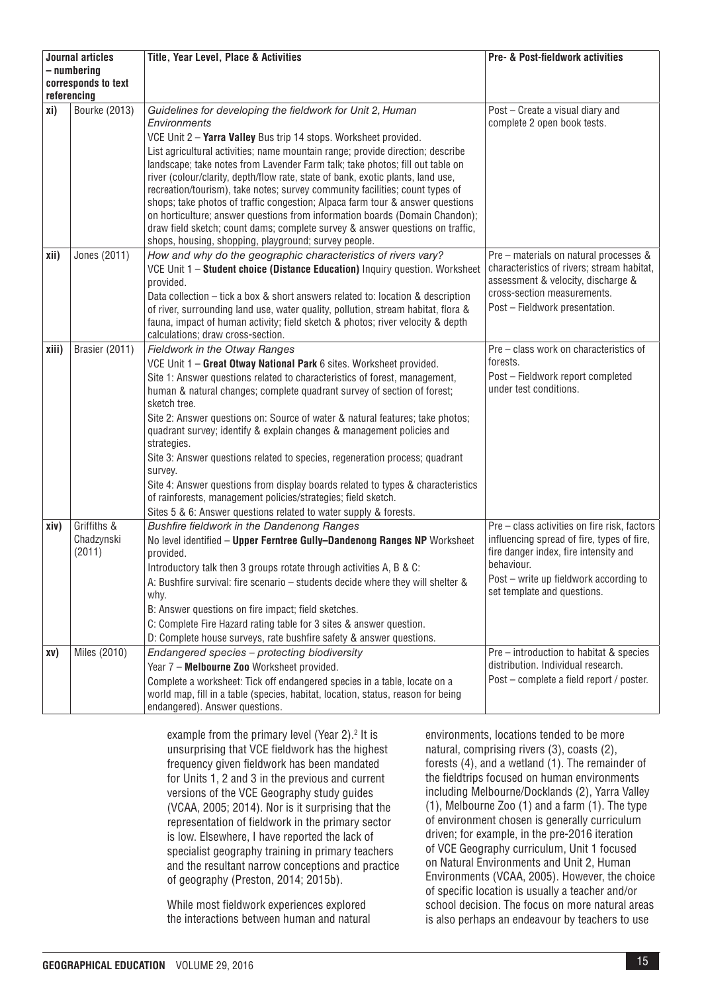| Journal articles                   |                                     | Title, Year Level, Place & Activities                                                                                                                                                                                                                                                                                                                                                                                                                                                                                                                                                                                                                                                                                                                                                        | <b>Pre- &amp; Post-fieldwork activities</b>                                                                                                                                                                                                         |
|------------------------------------|-------------------------------------|----------------------------------------------------------------------------------------------------------------------------------------------------------------------------------------------------------------------------------------------------------------------------------------------------------------------------------------------------------------------------------------------------------------------------------------------------------------------------------------------------------------------------------------------------------------------------------------------------------------------------------------------------------------------------------------------------------------------------------------------------------------------------------------------|-----------------------------------------------------------------------------------------------------------------------------------------------------------------------------------------------------------------------------------------------------|
| - numbering                        |                                     |                                                                                                                                                                                                                                                                                                                                                                                                                                                                                                                                                                                                                                                                                                                                                                                              |                                                                                                                                                                                                                                                     |
| corresponds to text<br>referencing |                                     |                                                                                                                                                                                                                                                                                                                                                                                                                                                                                                                                                                                                                                                                                                                                                                                              |                                                                                                                                                                                                                                                     |
| xi)                                | Bourke (2013)                       | Guidelines for developing the fieldwork for Unit 2, Human<br>Environments<br>VCE Unit 2 - Yarra Valley Bus trip 14 stops. Worksheet provided.<br>List agricultural activities; name mountain range; provide direction; describe<br>landscape; take notes from Lavender Farm talk; take photos; fill out table on<br>river (colour/clarity, depth/flow rate, state of bank, exotic plants, land use,<br>recreation/tourism), take notes; survey community facilities; count types of<br>shops; take photos of traffic congestion; Alpaca farm tour & answer questions<br>on horticulture; answer questions from information boards (Domain Chandon);<br>draw field sketch; count dams; complete survey & answer questions on traffic,<br>shops, housing, shopping, playground; survey people. | Post - Create a visual diary and<br>complete 2 open book tests.                                                                                                                                                                                     |
| xii)                               | Jones (2011)                        | How and why do the geographic characteristics of rivers vary?<br>VCE Unit 1 - Student choice (Distance Education) Inquiry question. Worksheet<br>provided.<br>Data collection – tick a box & short answers related to: location & description<br>of river, surrounding land use, water quality, pollution, stream habitat, flora &<br>fauna, impact of human activity; field sketch & photos; river velocity & depth<br>calculations; draw cross-section.                                                                                                                                                                                                                                                                                                                                    | Pre - materials on natural processes &<br>characteristics of rivers; stream habitat,<br>assessment & velocity, discharge &<br>cross-section measurements.<br>Post - Fieldwork presentation.                                                         |
| xiii)                              | Brasier (2011)                      | Fieldwork in the Otway Ranges<br>VCE Unit 1 - Great Otway National Park 6 sites. Worksheet provided.<br>Site 1: Answer questions related to characteristics of forest, management,<br>human & natural changes; complete quadrant survey of section of forest;<br>sketch tree.<br>Site 2: Answer questions on: Source of water & natural features; take photos;<br>quadrant survey; identify & explain changes & management policies and<br>strategies.<br>Site 3: Answer questions related to species, regeneration process; quadrant<br>survey.<br>Site 4: Answer questions from display boards related to types & characteristics<br>of rainforests, management policies/strategies; field sketch.<br>Sites 5 & 6: Answer questions related to water supply & forests.                     | Pre – class work on characteristics of<br>forests.<br>Post - Fieldwork report completed<br>under test conditions.                                                                                                                                   |
| xiv)                               | Griffiths &<br>Chadzynski<br>(2011) | Bushfire fieldwork in the Dandenong Ranges<br>No level identified - Upper Ferntree Gully-Dandenong Ranges NP Worksheet<br>provided.<br>Introductory talk then 3 groups rotate through activities A, B & C:<br>A: Bushfire survival: fire scenario - students decide where they will shelter &<br>why.<br>B: Answer questions on fire impact; field sketches.<br>C: Complete Fire Hazard rating table for 3 sites & answer question.<br>D: Complete house surveys, rate bushfire safety & answer questions.                                                                                                                                                                                                                                                                                   | $\overline{\text{Pre}-\text{class activities}}$ on fire risk, factors<br>influencing spread of fire, types of fire,<br>fire danger index, fire intensity and<br>behaviour.<br>Post - write up fieldwork according to<br>set template and questions. |
| XV)                                | Miles (2010)                        | Endangered species - protecting biodiversity<br>Year 7 - Melbourne Zoo Worksheet provided.<br>Complete a worksheet: Tick off endangered species in a table, locate on a<br>world map, fill in a table (species, habitat, location, status, reason for being<br>endangered). Answer questions.                                                                                                                                                                                                                                                                                                                                                                                                                                                                                                | Pre - introduction to habitat & species<br>distribution. Individual research.<br>Post – complete a field report / poster.                                                                                                                           |

example from the primary level (Year 2). $2$  It is unsurprising that VCE fieldwork has the highest frequency given fieldwork has been mandated for Units 1, 2 and 3 in the previous and current versions of the VCE Geography study guides (VCAA, 2005; 2014). Nor is it surprising that the representation of fieldwork in the primary sector is low. Elsewhere, I have reported the lack of specialist geography training in primary teachers and the resultant narrow conceptions and practice of geography (Preston, 2014; 2015b).

While most fieldwork experiences explored the interactions between human and natural

environments, locations tended to be more natural, comprising rivers (3), coasts (2), forests (4), and a wetland (1). The remainder of the fieldtrips focused on human environments including Melbourne/Docklands (2), Yarra Valley (1), Melbourne Zoo (1) and a farm (1). The type of environment chosen is generally curriculum driven; for example, in the pre-2016 iteration of VCE Geography curriculum, Unit 1 focused on Natural Environments and Unit 2, Human Environments (VCAA, 2005). However, the choice of specific location is usually a teacher and/or school decision. The focus on more natural areas is also perhaps an endeavour by teachers to use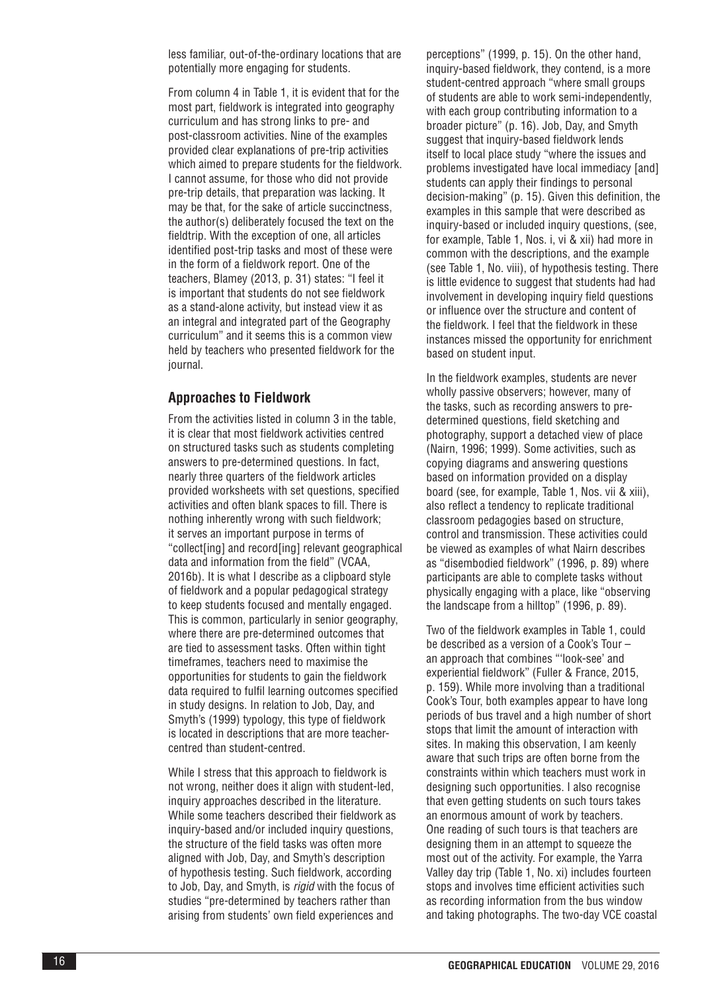less familiar, out-of-the-ordinary locations that are potentially more engaging for students.

From column 4 in Table 1, it is evident that for the most part, fieldwork is integrated into geography curriculum and has strong links to pre- and post-classroom activities. Nine of the examples provided clear explanations of pre-trip activities which aimed to prepare students for the fieldwork. I cannot assume, for those who did not provide pre-trip details, that preparation was lacking. It may be that, for the sake of article succinctness, the author(s) deliberately focused the text on the fieldtrip. With the exception of one, all articles identified post-trip tasks and most of these were in the form of a fieldwork report. One of the teachers, Blamey (2013, p. 31) states: "I feel it is important that students do not see fieldwork as a stand-alone activity, but instead view it as an integral and integrated part of the Geography curriculum" and it seems this is a common view held by teachers who presented fieldwork for the journal.

#### **Approaches to Fieldwork**

From the activities listed in column 3 in the table, it is clear that most fieldwork activities centred on structured tasks such as students completing answers to pre-determined questions. In fact, nearly three quarters of the fieldwork articles provided worksheets with set questions, specified activities and often blank spaces to fill. There is nothing inherently wrong with such fieldwork; it serves an important purpose in terms of "collect[ing] and record[ing] relevant geographical data and information from the field" (VCAA, 2016b). It is what I describe as a clipboard style of fieldwork and a popular pedagogical strategy to keep students focused and mentally engaged. This is common, particularly in senior geography, where there are pre-determined outcomes that are tied to assessment tasks. Often within tight timeframes, teachers need to maximise the opportunities for students to gain the fieldwork data required to fulfil learning outcomes specified in study designs. In relation to Job, Day, and Smyth's (1999) typology, this type of fieldwork is located in descriptions that are more teachercentred than student-centred.

While I stress that this approach to fieldwork is not wrong, neither does it align with student-led, inquiry approaches described in the literature. While some teachers described their fieldwork as inquiry-based and/or included inquiry questions, the structure of the field tasks was often more aligned with Job, Day, and Smyth's description of hypothesis testing. Such fieldwork, according to Job, Day, and Smyth, is *rigid* with the focus of studies "pre-determined by teachers rather than arising from students' own field experiences and

perceptions" (1999, p. 15). On the other hand, inquiry-based fieldwork, they contend, is a more student-centred approach "where small groups of students are able to work semi-independently, with each group contributing information to a broader picture" (p. 16). Job, Day, and Smyth suggest that inquiry-based fieldwork lends itself to local place study "where the issues and problems investigated have local immediacy [and] students can apply their findings to personal decision-making" (p. 15). Given this definition, the examples in this sample that were described as inquiry-based or included inquiry questions, (see, for example, Table 1, Nos. i, vi & xii) had more in common with the descriptions, and the example (see Table 1, No. viii), of hypothesis testing. There is little evidence to suggest that students had had involvement in developing inquiry field questions or influence over the structure and content of the fieldwork. I feel that the fieldwork in these instances missed the opportunity for enrichment based on student input.

In the fieldwork examples, students are never wholly passive observers; however, many of the tasks, such as recording answers to predetermined questions, field sketching and photography, support a detached view of place (Nairn, 1996; 1999). Some activities, such as copying diagrams and answering questions based on information provided on a display board (see, for example, Table 1, Nos. vii & xiii), also reflect a tendency to replicate traditional classroom pedagogies based on structure, control and transmission. These activities could be viewed as examples of what Nairn describes as "disembodied fieldwork" (1996, p. 89) where participants are able to complete tasks without physically engaging with a place, like "observing the landscape from a hilltop" (1996, p. 89).

Two of the fieldwork examples in Table 1, could be described as a version of a Cook's Tour – an approach that combines "'look-see' and experiential fieldwork" (Fuller & France, 2015, p. 159). While more involving than a traditional Cook's Tour, both examples appear to have long periods of bus travel and a high number of short stops that limit the amount of interaction with sites. In making this observation, I am keenly aware that such trips are often borne from the constraints within which teachers must work in designing such opportunities. I also recognise that even getting students on such tours takes an enormous amount of work by teachers. One reading of such tours is that teachers are designing them in an attempt to squeeze the most out of the activity. For example, the Yarra Valley day trip (Table 1, No. xi) includes fourteen stops and involves time efficient activities such as recording information from the bus window and taking photographs. The two-day VCE coastal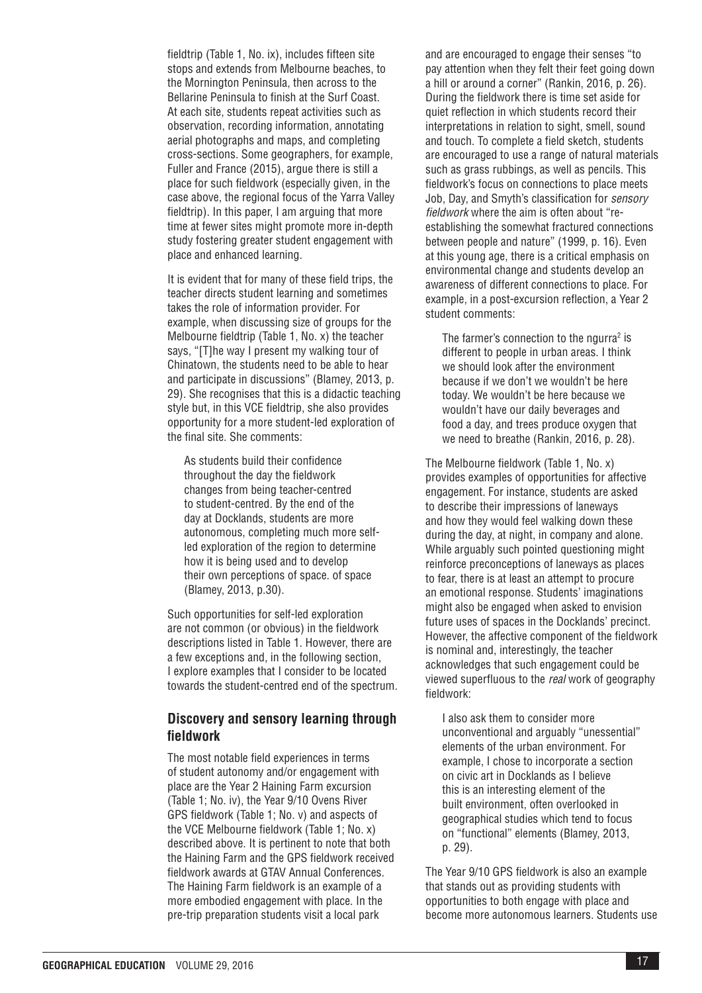fieldtrip (Table 1, No. ix), includes fifteen site stops and extends from Melbourne beaches, to the Mornington Peninsula, then across to the Bellarine Peninsula to finish at the Surf Coast. At each site, students repeat activities such as observation, recording information, annotating aerial photographs and maps, and completing cross-sections. Some geographers, for example, Fuller and France (2015), argue there is still a place for such fieldwork (especially given, in the case above, the regional focus of the Yarra Valley fieldtrip). In this paper, I am arguing that more time at fewer sites might promote more in-depth study fostering greater student engagement with place and enhanced learning.

It is evident that for many of these field trips, the teacher directs student learning and sometimes takes the role of information provider. For example, when discussing size of groups for the Melbourne fieldtrip (Table 1, No. x) the teacher says, "[T]he way I present my walking tour of Chinatown, the students need to be able to hear and participate in discussions" (Blamey, 2013, p. 29). She recognises that this is a didactic teaching style but, in this VCE fieldtrip, she also provides opportunity for a more student-led exploration of the final site. She comments:

As students build their confidence throughout the day the fieldwork changes from being teacher-centred to student-centred. By the end of the day at Docklands, students are more autonomous, completing much more selfled exploration of the region to determine how it is being used and to develop their own perceptions of space. of space (Blamey, 2013, p.30).

Such opportunities for self-led exploration are not common (or obvious) in the fieldwork descriptions listed in Table 1. However, there are a few exceptions and, in the following section, I explore examples that I consider to be located towards the student-centred end of the spectrum.

# **Discovery and sensory learning through fieldwork**

The most notable field experiences in terms of student autonomy and/or engagement with place are the Year 2 Haining Farm excursion (Table 1; No. iv), the Year 9/10 Ovens River GPS fieldwork (Table 1; No. v) and aspects of the VCE Melbourne fieldwork (Table 1; No. x) described above. It is pertinent to note that both the Haining Farm and the GPS fieldwork received fieldwork awards at GTAV Annual Conferences. The Haining Farm fieldwork is an example of a more embodied engagement with place. In the pre-trip preparation students visit a local park

and are encouraged to engage their senses "to pay attention when they felt their feet going down a hill or around a corner" (Rankin, 2016, p. 26). During the fieldwork there is time set aside for quiet reflection in which students record their interpretations in relation to sight, smell, sound and touch. To complete a field sketch, students are encouraged to use a range of natural materials such as grass rubbings, as well as pencils. This fieldwork's focus on connections to place meets Job, Day, and Smyth's classification for *sensory fieldwork* where the aim is often about "reestablishing the somewhat fractured connections between people and nature" (1999, p. 16). Even at this young age, there is a critical emphasis on environmental change and students develop an awareness of different connections to place. For example, in a post-excursion reflection, a Year 2 student comments:

The farmer's connection to the ngurra<sup>2</sup> is different to people in urban areas. I think we should look after the environment because if we don't we wouldn't be here today. We wouldn't be here because we wouldn't have our daily beverages and food a day, and trees produce oxygen that we need to breathe (Rankin, 2016, p. 28).

The Melbourne fieldwork (Table 1, No. x) provides examples of opportunities for affective engagement. For instance, students are asked to describe their impressions of laneways and how they would feel walking down these during the day, at night, in company and alone. While arguably such pointed questioning might reinforce preconceptions of laneways as places to fear, there is at least an attempt to procure an emotional response. Students' imaginations might also be engaged when asked to envision future uses of spaces in the Docklands' precinct. However, the affective component of the fieldwork is nominal and, interestingly, the teacher acknowledges that such engagement could be viewed superfluous to the *real* work of geography fieldwork:

I also ask them to consider more unconventional and arguably "unessential" elements of the urban environment. For example, I chose to incorporate a section on civic art in Docklands as I believe this is an interesting element of the built environment, often overlooked in geographical studies which tend to focus on "functional" elements (Blamey, 2013, p. 29).

The Year 9/10 GPS fieldwork is also an example that stands out as providing students with opportunities to both engage with place and become more autonomous learners. Students use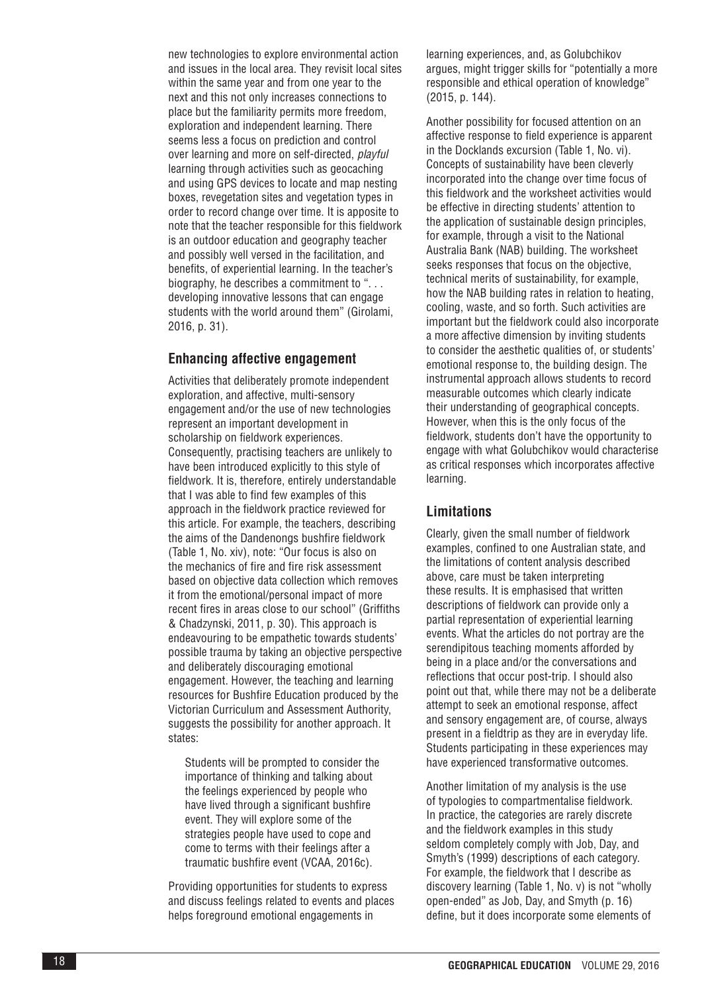new technologies to explore environmental action and issues in the local area. They revisit local sites within the same year and from one year to the next and this not only increases connections to place but the familiarity permits more freedom, exploration and independent learning. There seems less a focus on prediction and control over learning and more on self-directed, *playful* learning through activities such as geocaching and using GPS devices to locate and map nesting boxes, revegetation sites and vegetation types in order to record change over time. It is apposite to note that the teacher responsible for this fieldwork is an outdoor education and geography teacher and possibly well versed in the facilitation, and benefits, of experiential learning. In the teacher's biography, he describes a commitment to ". . . developing innovative lessons that can engage students with the world around them" (Girolami, 2016, p. 31).

# **Enhancing affective engagement**

Activities that deliberately promote independent exploration, and affective, multi-sensory engagement and/or the use of new technologies represent an important development in scholarship on fieldwork experiences. Consequently, practising teachers are unlikely to have been introduced explicitly to this style of fieldwork. It is, therefore, entirely understandable that I was able to find few examples of this approach in the fieldwork practice reviewed for this article. For example, the teachers, describing the aims of the Dandenongs bushfire fieldwork (Table 1, No. xiv), note: "Our focus is also on the mechanics of fire and fire risk assessment based on objective data collection which removes it from the emotional/personal impact of more recent fires in areas close to our school" (Griffiths & Chadzynski, 2011, p. 30). This approach is endeavouring to be empathetic towards students' possible trauma by taking an objective perspective and deliberately discouraging emotional engagement. However, the teaching and learning resources for Bushfire Education produced by the Victorian Curriculum and Assessment Authority, suggests the possibility for another approach. It states:

Students will be prompted to consider the importance of thinking and talking about the feelings experienced by people who have lived through a significant bushfire event. They will explore some of the strategies people have used to cope and come to terms with their feelings after a traumatic bushfire event (VCAA, 2016c).

Providing opportunities for students to express and discuss feelings related to events and places helps foreground emotional engagements in

learning experiences, and, as Golubchikov argues, might trigger skills for "potentially a more responsible and ethical operation of knowledge" (2015, p. 144).

Another possibility for focused attention on an affective response to field experience is apparent in the Docklands excursion (Table 1, No. vi). Concepts of sustainability have been cleverly incorporated into the change over time focus of this fieldwork and the worksheet activities would be effective in directing students' attention to the application of sustainable design principles, for example, through a visit to the National Australia Bank (NAB) building. The worksheet seeks responses that focus on the objective, technical merits of sustainability, for example, how the NAB building rates in relation to heating, cooling, waste, and so forth. Such activities are important but the fieldwork could also incorporate a more affective dimension by inviting students to consider the aesthetic qualities of, or students' emotional response to, the building design. The instrumental approach allows students to record measurable outcomes which clearly indicate their understanding of geographical concepts. However, when this is the only focus of the fieldwork, students don't have the opportunity to engage with what Golubchikov would characterise as critical responses which incorporates affective learning.

#### **Limitations**

Clearly, given the small number of fieldwork examples, confined to one Australian state, and the limitations of content analysis described above, care must be taken interpreting these results. It is emphasised that written descriptions of fieldwork can provide only a partial representation of experiential learning events. What the articles do not portray are the serendipitous teaching moments afforded by being in a place and/or the conversations and reflections that occur post-trip. I should also point out that, while there may not be a deliberate attempt to seek an emotional response, affect and sensory engagement are, of course, always present in a fieldtrip as they are in everyday life. Students participating in these experiences may have experienced transformative outcomes.

Another limitation of my analysis is the use of typologies to compartmentalise fieldwork. In practice, the categories are rarely discrete and the fieldwork examples in this study seldom completely comply with Job, Day, and Smyth's (1999) descriptions of each category. For example, the fieldwork that I describe as discovery learning (Table 1, No. v) is not "wholly open-ended" as Job, Day, and Smyth (p. 16) define, but it does incorporate some elements of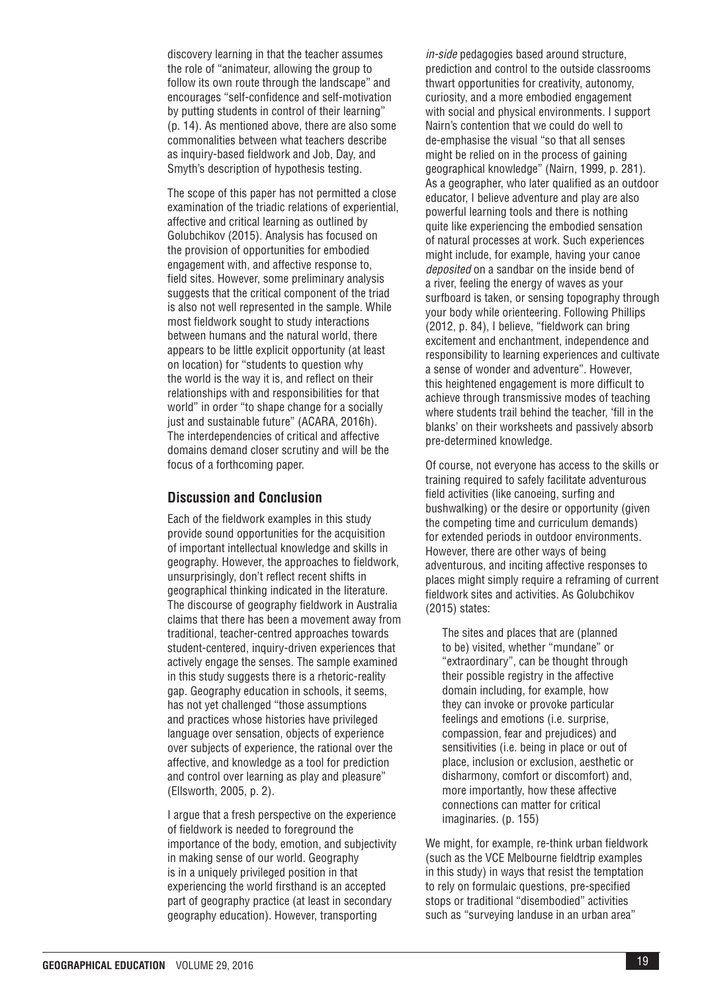discovery learning in that the teacher assumes the role of "animateur, allowing the group to follow its own route through the landscape" and encourages "self-confidence and self-motivation by putting students in control of their learning" (p. 14). As mentioned above, there are also some commonalities between what teachers describe as inquiry-based fieldwork and Job, Day, and Smyth's description of hypothesis testing.

The scope of this paper has not permitted a close examination of the triadic relations of experiential, affective and critical learning as outlined by Golubchikov (2015). Analysis has focused on the provision of opportunities for embodied engagement with, and affective response to, field sites. However, some preliminary analysis suggests that the critical component of the triad is also not well represented in the sample. While most fieldwork sought to study interactions between humans and the natural world, there appears to be little explicit opportunity (at least on location) for "students to question why the world is the way it is, and reflect on their relationships with and responsibilities for that world" in order "to shape change for a socially just and sustainable future" (ACARA, 2016h). The interdependencies of critical and affective domains demand closer scrutiny and will be the focus of a forthcoming paper.

### **Discussion and Conclusion**

Each of the fieldwork examples in this study provide sound opportunities for the acquisition of important intellectual knowledge and skills in geography. However, the approaches to fieldwork, unsurprisingly, don't reflect recent shifts in geographical thinking indicated in the literature. The discourse of geography fieldwork in Australia claims that there has been a movement away from traditional, teacher-centred approaches towards student-centered, inquiry-driven experiences that actively engage the senses. The sample examined in this study suggests there is a rhetoric-reality gap. Geography education in schools, it seems, has not yet challenged "those assumptions and practices whose histories have privileged language over sensation, objects of experience over subjects of experience, the rational over the affective, and knowledge as a tool for prediction and control over learning as play and pleasure" (Ellsworth, 2005, p. 2).

I argue that a fresh perspective on the experience of fieldwork is needed to foreground the importance of the body, emotion, and subjectivity in making sense of our world. Geography is in a uniquely privileged position in that experiencing the world firsthand is an accepted part of geography practice (at least in secondary geography education). However, transporting

*in-side* pedagogies based around structure, prediction and control to the outside classrooms thwart opportunities for creativity, autonomy, curiosity, and a more embodied engagement with social and physical environments. I support Nairn's contention that we could do well to de-emphasise the visual "so that all senses might be relied on in the process of gaining geographical knowledge" (Nairn, 1999, p. 281). As a geographer, who later qualified as an outdoor educator, I believe adventure and play are also powerful learning tools and there is nothing quite like experiencing the embodied sensation of natural processes at work. Such experiences might include, for example, having your canoe *deposited* on a sandbar on the inside bend of a river, feeling the energy of waves as your surfboard is taken, or sensing topography through your body while orienteering. Following Phillips (2012, p. 84), I believe, "fieldwork can bring excitement and enchantment, independence and responsibility to learning experiences and cultivate a sense of wonder and adventure". However, this heightened engagement is more difficult to achieve through transmissive modes of teaching where students trail behind the teacher, 'fill in the blanks' on their worksheets and passively absorb pre-determined knowledge.

Of course, not everyone has access to the skills or training required to safely facilitate adventurous field activities (like canoeing, surfing and bushwalking) or the desire or opportunity (given the competing time and curriculum demands) for extended periods in outdoor environments. However, there are other ways of being adventurous, and inciting affective responses to places might simply require a reframing of current fieldwork sites and activities. As Golubchikov (2015) states:

The sites and places that are (planned to be) visited, whether "mundane" or "extraordinary", can be thought through their possible registry in the affective domain including, for example, how they can invoke or provoke particular feelings and emotions (i.e. surprise, compassion, fear and prejudices) and sensitivities (i.e. being in place or out of place, inclusion or exclusion, aesthetic or disharmony, comfort or discomfort) and, more importantly, how these affective connections can matter for critical imaginaries. (p. 155)

We might, for example, re-think urban fieldwork (such as the VCE Melbourne fieldtrip examples in this study) in ways that resist the temptation to rely on formulaic questions, pre-specified stops or traditional "disembodied" activities such as "surveying landuse in an urban area"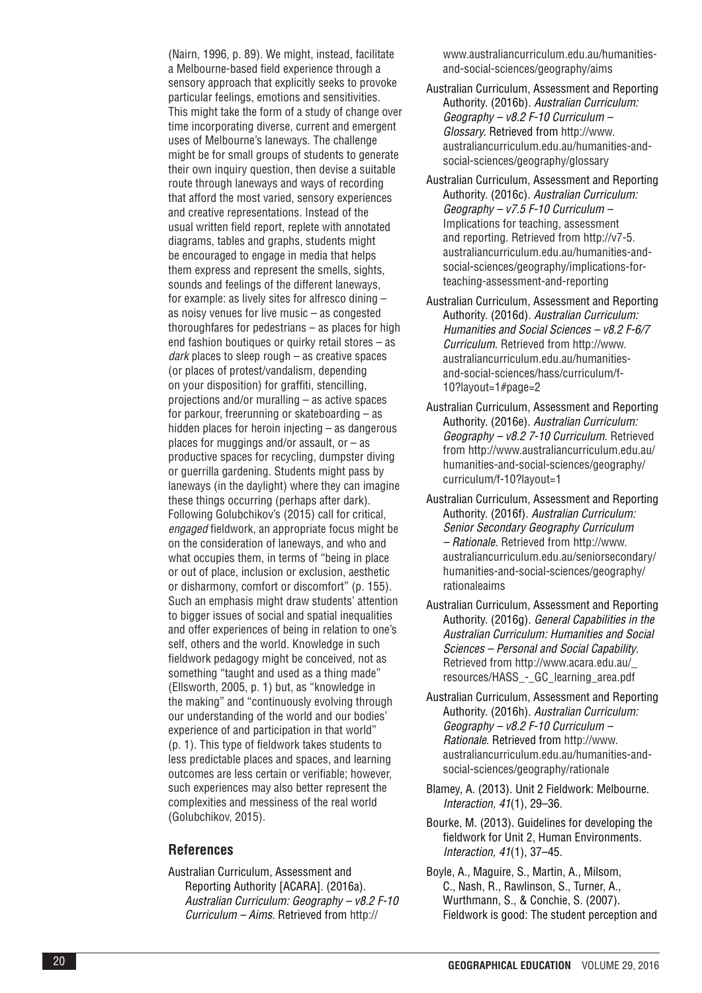(Nairn, 1996, p. 89). We might, instead, facilitate a Melbourne-based field experience through a sensory approach that explicitly seeks to provoke particular feelings, emotions and sensitivities. This might take the form of a study of change over time incorporating diverse, current and emergent uses of Melbourne's laneways. The challenge might be for small groups of students to generate their own inquiry question, then devise a suitable route through laneways and ways of recording that afford the most varied, sensory experiences and creative representations. Instead of the usual written field report, replete with annotated diagrams, tables and graphs, students might be encouraged to engage in media that helps them express and represent the smells, sights, sounds and feelings of the different laneways, for example: as lively sites for alfresco dining – as noisy venues for live music – as congested thoroughfares for pedestrians – as places for high end fashion boutiques or quirky retail stores – as *dark* places to sleep rough – as creative spaces (or places of protest/vandalism, depending on your disposition) for graffiti, stencilling, projections and/or muralling – as active spaces for parkour, freerunning or skateboarding – as hidden places for heroin injecting – as dangerous places for muggings and/or assault, or  $-$  as productive spaces for recycling, dumpster diving or guerrilla gardening. Students might pass by laneways (in the daylight) where they can imagine these things occurring (perhaps after dark). Following Golubchikov's (2015) call for critical, *engaged* fieldwork, an appropriate focus might be on the consideration of laneways, and who and what occupies them, in terms of "being in place or out of place, inclusion or exclusion, aesthetic or disharmony, comfort or discomfort" (p. 155). Such an emphasis might draw students' attention to bigger issues of social and spatial inequalities and offer experiences of being in relation to one's self, others and the world. Knowledge in such fieldwork pedagogy might be conceived, not as something "taught and used as a thing made" (Ellsworth, 2005, p. 1) but, as "knowledge in the making" and "continuously evolving through our understanding of the world and our bodies' experience of and participation in that world" (p. 1). This type of fieldwork takes students to less predictable places and spaces, and learning outcomes are less certain or verifiable; however, such experiences may also better represent the complexities and messiness of the real world (Golubchikov, 2015).

#### **References**

Australian Curriculum, Assessment and Reporting Authority [ACARA]. (2016a). *Australian Curriculum: Geography – v8.2 F-10 Curriculum – Aims*. Retrieved from [http://](http://www.australiancurriculum.edu.au/humanities-and-social-sciences/geography/aims)

[www.australiancurriculum.edu.au/humanities](http://www.australiancurriculum.edu.au/humanities-and-social-sciences/geography/aims)[and-social-sciences/geography/aims](http://www.australiancurriculum.edu.au/humanities-and-social-sciences/geography/aims)

- Australian Curriculum, Assessment and Reporting Authority. (2016b). *Australian Curriculum: Geography – v8.2 F-10 Curriculum – Glossary.* Retrieved from [http://www.](http://www.australiancurriculum.edu.au/humanities-and-social-sciences/geography/glossary) [australiancurriculum.edu.au/humanities-and](http://www.australiancurriculum.edu.au/humanities-and-social-sciences/geography/glossary)[social-sciences/geography/glossary](http://www.australiancurriculum.edu.au/humanities-and-social-sciences/geography/glossary)
- Australian Curriculum, Assessment and Reporting Authority. (2016c). *Australian Curriculum: Geography – v7.5 F-10 Curriculum –*  Implications for teaching, assessment and reporting. Retrieved from [http://v7-5.](http://v7-5.australiancurriculum.edu.au/humanities-and-social-sciences/geography/implications-for-teaching-assessment-and-reporting) [australiancurriculum.edu.au/humanities-and](http://v7-5.australiancurriculum.edu.au/humanities-and-social-sciences/geography/implications-for-teaching-assessment-and-reporting)[social-sciences/geography/implications-for](http://v7-5.australiancurriculum.edu.au/humanities-and-social-sciences/geography/implications-for-teaching-assessment-and-reporting)[teaching-assessment-and-reporting](http://v7-5.australiancurriculum.edu.au/humanities-and-social-sciences/geography/implications-for-teaching-assessment-and-reporting)
- Australian Curriculum, Assessment and Reporting Authority. (2016d). *Australian Curriculum: Humanities and Social Sciences – v8.2 F-6/7 Curriculum* . Retrieved from [http://www.](http://www.australiancurriculum.edu.au/humanities-and-social-sciences/hass/curriculum/f-10?layout=1#page=2) [australiancurriculum.edu.au/humanities](http://www.australiancurriculum.edu.au/humanities-and-social-sciences/hass/curriculum/f-10?layout=1#page=2)[and-social-sciences/hass/curriculum/f-](http://www.australiancurriculum.edu.au/humanities-and-social-sciences/hass/curriculum/f-10?layout=1#page=2)[10?layout=1#page=2](http://www.australiancurriculum.edu.au/humanities-and-social-sciences/hass/curriculum/f-10?layout=1#page=2)
- Australian Curriculum, Assessment and Reporting Authority. (2016e). *Australian Curriculum: Geography – v8.2 7-10 Curriculum*. Retrieved from [http://www.australiancurriculum.edu.au/](http://www.australiancurriculum.edu.au/humanities-and-social-sciences/geography/curriculum/f-10?layout=1) [humanities-and-social-sciences/geography/](http://www.australiancurriculum.edu.au/humanities-and-social-sciences/geography/curriculum/f-10?layout=1) [curriculum/f-10?layout=1](http://www.australiancurriculum.edu.au/humanities-and-social-sciences/geography/curriculum/f-10?layout=1)
- Australian Curriculum, Assessment and Reporting Authority. (2016f). *Australian Curriculum: Senior Secondary Geography Curriculum – Rationale*. Retrieved from [http://www.](http://www.australiancurriculum.edu.au/seniorsecondary/humanities-and-social-sciences/geography/rationaleaims) [australiancurriculum.edu.au/seniorsecondary/](http://www.australiancurriculum.edu.au/seniorsecondary/humanities-and-social-sciences/geography/rationaleaims) [humanities-and-social-sciences/geography/](http://www.australiancurriculum.edu.au/seniorsecondary/humanities-and-social-sciences/geography/rationaleaims) [rationaleaims](http://www.australiancurriculum.edu.au/seniorsecondary/humanities-and-social-sciences/geography/rationaleaims)
- Australian Curriculum, Assessment and Reporting Authority. (2016g). *General Capabilities in the Australian Curriculum: Humanities and Social Sciences – Personal and Social Capability*. Retrieved from [http://www.acara.edu.au/\\_](http://www.acara.edu.au/_resources/HASS_-_GC_learning_area.pdf) resources/HASS - GC learning area.pdf
- Australian Curriculum, Assessment and Reporting Authority. (2016h). *Australian Curriculum: Geography – v8.2 F-10 Curriculum – Rationale*. Retrieved from [http://www.](http://www.australiancurriculum.edu.au/humanities-and-social-sciences/geography/rationale) [australiancurriculum.edu.au/humanities-and](http://www.australiancurriculum.edu.au/humanities-and-social-sciences/geography/rationale)[social-sciences/geography/rationale](http://www.australiancurriculum.edu.au/humanities-and-social-sciences/geography/rationale)
- Blamey, A. (2013). Unit 2 Fieldwork: Melbourne. *Interaction, 41*(1), 29–36.
- Bourke, M. (2013). Guidelines for developing the fieldwork for Unit 2, Human Environments. *Interaction, 41*(1), 37–45.

Boyle, A., Maguire, S., Martin, A., Milsom, C., Nash, R., Rawlinson, S., Turner, A., Wurthmann, S., & Conchie, S. (2007). Fieldwork is good: The student perception and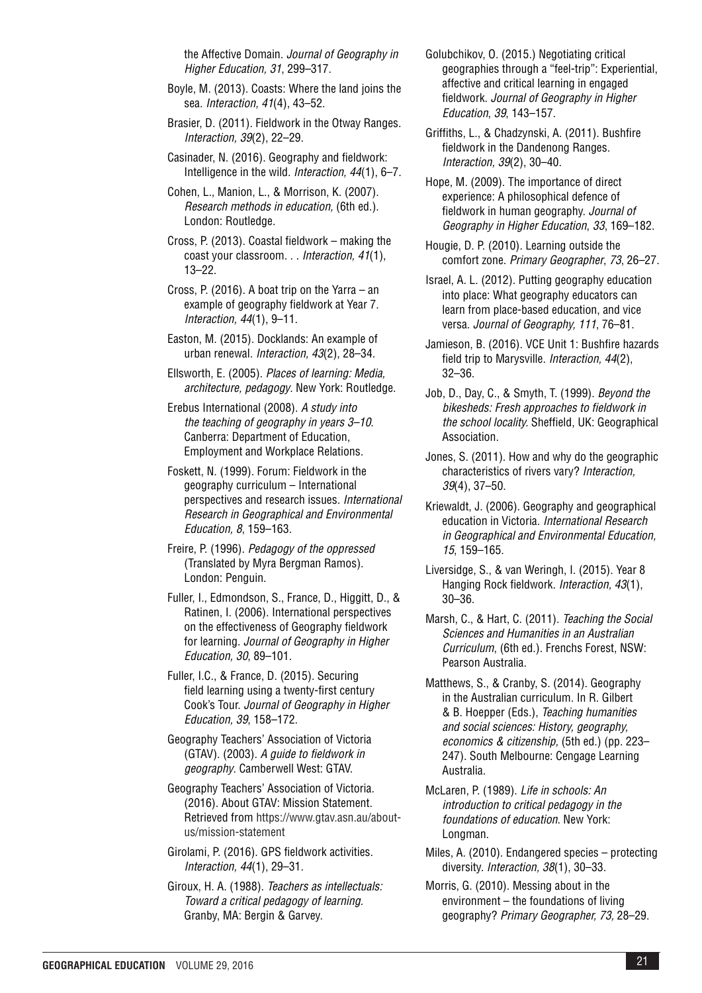the Affective Domain. *Journal of Geography in Higher Education, 31*, 299–317.

- Boyle, M. (2013). Coasts: Where the land joins the sea. *Interaction, 41*(4), 43–52.
- Brasier, D. (2011). Fieldwork in the Otway Ranges. *Interaction, 39*(2), 22–29.
- Casinader, N. (2016). Geography and fieldwork: Intelligence in the wild. *Interaction, 44*(1), 6–7.

Cohen, L., Manion, L., & Morrison, K. (2007). *Research methods in education,* (6th ed.). London: Routledge.

Cross, P. (2013). Coastal fieldwork – making the coast your classroom. . . *Interaction, 41*(1), 13–22.

Cross, P. (2016). A boat trip on the Yarra – an example of geography fieldwork at Year 7. *Interaction, 44*(1), 9–11.

Easton, M. (2015). Docklands: An example of urban renewal. *Interaction, 43*(2), 28–34.

Ellsworth, E. (2005). *Places of learning: Media, architecture, pedagogy*. New York: Routledge.

Erebus International (2008). *A study into the teaching of geography in years 3–10*. Canberra: Department of Education, Employment and Workplace Relations.

Foskett, N. (1999). Forum: Fieldwork in the geography curriculum – International perspectives and research issues. *International Research in Geographical and Environmental Education, 8*, 159–163.

Freire, P. (1996). *Pedagogy of the oppressed*  (Translated by Myra Bergman Ramos). London: Penguin.

Fuller, I., Edmondson, S., France, D., Higgitt, D., & Ratinen, I. (2006). International perspectives on the effectiveness of Geography fieldwork for learning. *Journal of Geography in Higher Education, 30*, 89–101.

Fuller, I.C., & France, D. (2015). Securing field learning using a twenty-first century Cook's Tour. *Journal of Geography in Higher Education, 39*, 158–172.

Geography Teachers' Association of Victoria (GTAV). (2003). *A guide to fieldwork in geography*. Camberwell West: GTAV.

Geography Teachers' Association of Victoria. (2016). About GTAV: Mission Statement. Retrieved from [https://www.gtav.asn.au/about](https://www.gtav.asn.au/about-us/mission-statement)[us/mission-statement](https://www.gtav.asn.au/about-us/mission-statement)

Girolami, P. (2016). GPS fieldwork activities. *Interaction, 44*(1), 29–31.

Giroux, H. A. (1988). *Teachers as intellectuals: Toward a critical pedagogy of learning.* Granby, MA: Bergin & Garvey.

Golubchikov, O. (2015.) Negotiating critical geographies through a "feel-trip": Experiential, affective and critical learning in engaged fieldwork. *Journal of Geography in Higher Education*, *39*, 143–157.

Griffiths, L., & Chadzynski, A. (2011). Bushfire fieldwork in the Dandenong Ranges. *Interaction, 39*(2), 30–40.

Hope, M. (2009). The importance of direct experience: A philosophical defence of fieldwork in human geography. *Journal of Geography in Higher Education*, *33*, 169–182.

Hougie, D. P. (2010)*.* Learning outside the comfort zone. *Primary Geographer*, *73*, 26–27.

Israel, A. L. (2012). Putting geography education into place: What geography educators can learn from place-based education, and vice versa. *Journal of Geography, 111*, 76–81.

Jamieson, B. (2016). VCE Unit 1: Bushfire hazards field trip to Marysville. *Interaction, 44*(2), 32–36.

Job, D., Day, C., & Smyth, T. (1999). *Beyond the bikesheds: Fresh approaches to fieldwork in the school locality.* Sheffield, UK: Geographical Association.

Jones, S. (2011). How and why do the geographic characteristics of rivers vary? *Interaction, 39*(4), 37–50.

Kriewaldt, J. (2006). Geography and geographical education in Victoria. *International Research in Geographical and Environmental Education, 15*, 159–165.

Liversidge, S., & van Weringh, I. (2015). Year 8 Hanging Rock fieldwork. *Interaction, 43*(1), 30–36.

Marsh, C., & Hart, C. (2011). *Teaching the Social Sciences and Humanities in an Australian Curriculum*, (6th ed.). Frenchs Forest, NSW: Pearson Australia.

Matthews, S., & Cranby, S. (2014). Geography in the Australian curriculum. In R. Gilbert & B. Hoepper (Eds.), *Teaching humanities and social sciences: History, geography, economics & citizenship,* (5th ed.) (pp. 223– 247). South Melbourne: Cengage Learning Australia.

McLaren, P. (1989). *Life in schools: An introduction to critical pedagogy in the foundations of education*. New York: Longman.

Miles, A. (2010). Endangered species – protecting diversity. *Interaction, 38*(1), 30–33.

Morris, G. (2010). Messing about in the environment – the foundations of living geography? *Primary Geographer, 73,* 28–29.